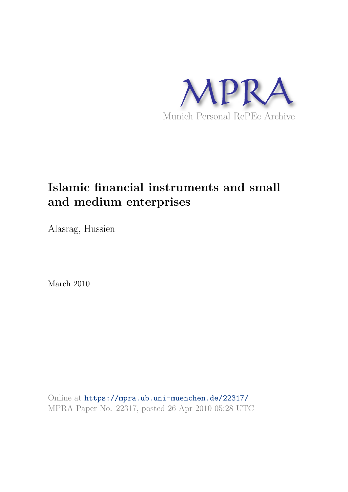

# **Islamic financial instruments and small and medium enterprises**

Alasrag, Hussien

March 2010

Online at https://mpra.ub.uni-muenchen.de/22317/ MPRA Paper No. 22317, posted 26 Apr 2010 05:28 UTC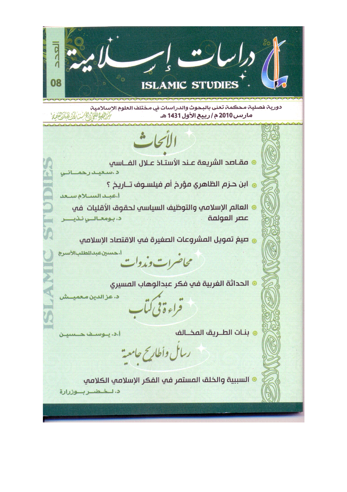$\frac{0}{6}$ 08 **ISLAMIC STUDIES** دورية فصلية محكمة تعني بالبحوث والدراسات في مختلف العلوم الإسلامية **《地质是通过人民》解决()** مارس 2010 م / ربيع الأول 1431 هـ الأنجاث @ مقـاصد الشريعة عـند الأستـاذ عـلال الفــاسي د استعینت راهما @ ابن حـزم الظاهري مؤرخ أم فيلسـوف تــاريخ ؟ أعبد السلام سعد @ العالم الإسلامي والتوظيف السياسب لحقوق الأقليات في عصر العولمة د. بومعالىي نذيي @ صيغ تمويل المشروعات الصغيرة في الاقتصاد الاسلامي أ.حسين عبدالطلبالأسرج محاضرات ومدوات @ الحداثة الغربية في فكر عبدالوهاب ال<mark>م</mark>سيري د. عز الدين مـعمد فراءةفي كمأ **. بنـات الطــريق المخـــالف** ا.د. ينوسف حـسيـن ربال وأطاريح حامعة @ السببية والخلق المستمر في الفكر الإسلامي الكلامي د. لـخـضـربـوزرارة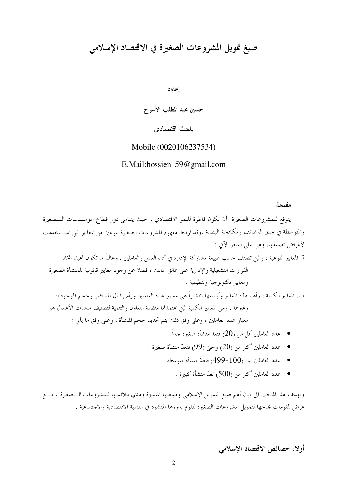## صيغ تمويل المشروعات الصغيرة في الاقتصاد الإسلامي

إعداد

حسين عبد المطلب الأسرج

باحث اقتصادي

Mobile (0020106237534)

#### E.Mail:hossien159@gmail.com

مفدمة

يتوقع للمشروعات الصغيرة أن تكون قاطرة للنمو الاقتصادي ، حيث يتنامى دور قطاع المؤســـسات الــــصغيرة والمتوسطة في حلق الوظائف ومكافحة البطالة .وقد ارتبط مفهوم المشروعات الصغيرة بنوعين من المعايير التي اســـتخدمت لأغراض تصنيفها، وهي على النحو الآتي :

آ. المعايير النوعية : والتي تصنف حسب طبيعة مشاركة الإدارة في أداء العمل والعاملين . وغالباً ما تكون أعباء اتخاذ القرارات التشغيلية والإدارية على عاتق المالك ، فضلاً عن وجود معايير قانونية للمنشأة الصغيرة ومعايير تكنولوجية وتنظيمية .

ب. المعايير الكمية : وأهم هذه المعايير وأوسعها انتشاراً هي معايير عدد العاملين ورأس المال المستثمر وحجم الموجودات وغيرها . ومن المعايير الكمية التي اعتمدقما منظمة التعاون والتنمية لتصنيف منشآت الأعمال هو معيار عدد العاملين ، وعلى وفق ذلك يتم تحديد حجم المنشأة ، وعلى وفق ما يأتي :

- عدد العاملين أقل من (20) فتعد منشأة صغيرة حداً .  $\,$
- عدد العاملين أكثر من (20<sub>)</sub> وحتى (99) فتعدّ منشأة صغيرة .
	- - عدد العاملين أكثر من (500) تعدّ منشأة كبيرة .  $\,$

ويهدف هذا المبحث الى بيان أهم صيغ التمويل الإسلامي وطبيعتها المتميزة ومدي ملائمتها للمشروعات الــصغيرة ، مـــع عرض لمقومات بحاحها لتمويل المشروعات الصغيرة لتقوم بدورها المنشود في التنمية الاقتصادية والاحتماعية .

أو لا: خصائص الاقتصاد الإسلامي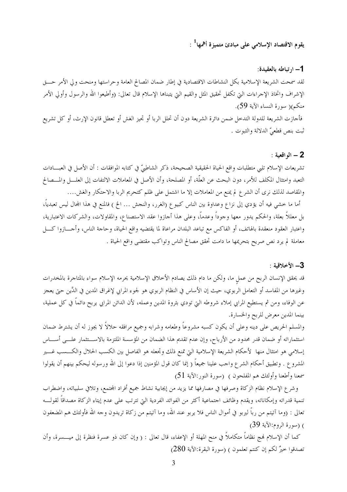## يقوم الاقتصاد الإسلامي على مبادئ متميزة أهمها $^1$  :

#### 1– ارتباطه بالعقيدة:

لقد سمحت الشريعة الإسلامية بكل النشاطات الاقتصادية في إطار ضمان المصالح العامة وحراستها ومنحت ولي الأمر حـــق الإشراف واتخاذ الإحراءات التي تكفل تحقيق المثل والقيم التي يتبناها الإسلام قال تعالى: (وأطيعوا الله والرسول وأولي الأمر منكم)( سورة النساء الآية 59). فأجازت الشريعة للدولة التدحل ضمن دائرة الشريعة دون أن تحلل الربا أو تجيز الغش أو تعطل قانون الإرث، أو كل تشريع ثبت بنص قطعيّ الدلالة والثبوت .

#### $: 3.4$  - الو اقعية  $-2$

تشريعات الإسلام تلبي متطلبات واقع الحياة الحقيقية الصحيحة، ذكر الشاطبيّ في كتابه الموافقات : أن الأصل في العبـــادات التعبد وامتثال المكلف للأمر، دون البحث عن العلَّة، أو المصلحة، وأن الأصل في المعاملات الالتفات إلى العلــــل والمـــصالح والمقاصد لذلك نرى أن الشرع لم يمنع من المعاملات إلا ما اشتمل على ظلم كتحريم الربا والاحتكار والغش....

أما ما خشى فيه أن يؤدي إلى نزاع وعداوة بين الناس كبيوع (الغرر، والنجش … الخ ) فالمنع في هذا المحال ليس تعبدياً، بل معللاً بعلة، والحكم يدور معها وحوداً وعدماً، وعلى هذا أحازوا عقد الاستصناع، والمقاولات، والشركات الاعتبارية، واعتبار العقود منعقدة بالهاتف، أو الفاكس مع تباعد البلدان مراعاة لما يقتضيه واقع الحياة، وحاحة الناس، وأحــــازوا كــــل معاملة لم يرد نص صريح بتحريمها ما دامت تحقق مصالح الناس وتواكب مقتضى واقع الحياة .

#### 3- الأخلاقية :

قد يحقق الإنسان الربح من عمل ما، ولكن ما دام ذلك يصادم الأخلاق الإسلامية يحرمه الإسلام سواء بالمتاجرة بالمخدرات وغيرها من المفاسد أو التعامل الربوي، حيث إن الأساس في النظام الربوي هو لجوء المرابي لإغراق المدين في الدَّين حتى يعجز عن الوفاء، ومن ثم يستطيع المرابي إملاء شروطه التي تودي بثروة المدين وعمله، لأن الدائن المرابي يربح دائماً في كل عملية، بينما المدين معرض للربح والخسارة.

والمسلم الحريص على دينه وعلى أن يكون كسبه مشروعاً وطعامه وشرابه وجميع مرافقه حلالاً لا يجوز له أن يشترط ضمان استثماراته أو ضمان قدر محدود من الأرباح، وإن عدم تقديم هذا الضمان من المؤسسة الملتزمة بالاســـتثمار علـــي أســــاس إسلامي هو امتثال منها لأحكام الشريعة الإسلامية التي تمنع ذلك وتجعله هو الفاصل بين الكسب الحلال والكـــسب غـــير المشروع . وتطبيق أحكام الشرع واحب علينا جميعاً ( إنما كان قول المؤمنين إذا دعوا إلى الله ورسوله ليحكم بينهم أن يقولوا سمعنا وأطعنا وأولئك هم المفلحون ) (سورة النور:الآية 51)

وشرع الإسلام نظام الزكاة وصرفها في مصارفها مما يزيد من إيجابية نشاط جميع أفراد المحتمع، وتلافي سلبياته، واضطراب تنمية قدراته وإمكاناته، ويقدم وظائف احتماعية أكثر من الفوائد الفردية التي تترتب على عدم إيتاء الزكاة مصداقاً لقولـــه تعالى : (وما آتيتم من رباً ليربو في أموال الناس فلا يربو عند الله، وما آتيتم من زكاة تريدون وجه الله فأولئك هم المضعفون ) (سورة الروم:الآية 39)

كما أن الإسلام فمج نظاماً متكاملاً في منح المهلة أو الإعفاء، قال تعالى : ( وإن كان ذو عسرة فنظرة إلى ميــــسرة، وأن تصدقوا خيرٌ لكم إن كنتم تعلمون ) (سورة البقرة:الآية 280)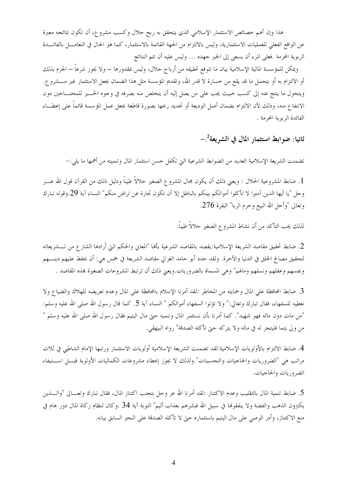هذا وإن أهم خصائص الاستثمار الإسلامي الذي يتحقق به ربح حلال وكسب مشروع، أن تكون نتائجه معبرة عن الواقع الفعلي للعمليات الاستثمارية، وليس بالالتزام من الجهة القائمة بالاستثمار، كما هو الحال في التعامــــل بالفائــــدة الربوية المحرمة .فعلي المرء أن يسعى إلى الخير جهده … وليس عليه أن تتم النتائج

ويمكن للمؤسسة المالية الإسلامية بيان ما تتوقع تحقيقه من أرباح حلال، وليس بمقدورها — ولا يجوز شرعاً — الجزم بذلك أو الالتزام به أو بتحمل ما قد يقع من خسارة لا قدر الله، وتقديم المؤسسة مثل هذا الضمان يجعل الاستثمار غير مـــشرو ع. ويتحول ما ينتج عنه إلى كسب خبيث يجب على من يصل إليه أن يتخلص منه بصرفه في وجوه الخـــير للمحتــــاجين دون الانتفاع منه، وذلك لأن الالتزام بضمان أصل الوديعة أو تحديد ربحها بصورة قاطعة يجعل عمل المؤسسة قائماً على إعطساء الفائدة الربوية المحرمة .

ثانيا: ضوابط استثمار المال في الشريعة $^{-2}$ .

تضمنت الشريعة الإسلامية العديد من الضوابط الشرعية التي تكفل حسن استثمار المال وتنميته من أهمها ما يلي:–

1. ضابط المشروعية الحلال : ويعني ذلك أن يكون مجال المشروع الصغير حلالاً طيباً ودليل ذلك من القرآن قول الله عــز وحل "يا أيها الذين آمنوا لا تأكلوا أموالكم بينكم بالباطل إلا أن تكون تجارة عن تراض منكم" النساء آية 29.وقوله تبارك وتعالى "وأحل الله البيع وحرم الربا" البقرة 276.

لذلك يجب التأكد من أن نشاط المشروع الصغير حلالاً طيباً.

2. ضابط تحقيق مقاصد الشريعة الإسلامية:يقصد بالمقاصد الشرعية بألها "المعايي والحكم التي أرادها الشارع من تـــشريعاته لتحقيق مصالح الخلق في الدنيا والآخرة. ولقد حدد أبو حامد الغزالي مقاصد الشريعة في حمس هي: أن يحفظ عليهم دينــــهم ونفسهم وعقلهم ونسلهم ومالهم" وهي المسماة بالضروريات.ويعني ذلك أن ترتبط المشروعات الصغيرة هذه المقاصد .

3. ضابط المحافظة على المال وحمايته من المخاطر :لقد أمرنا الإسلام بالمحافظة على المال وعدم تعريضه للهلاك والضياع ولا نعطيه للسفهاء، فقال تبارك وتعالى:" ولا تؤتوا السفهاء أموالكم " النساء آية 5. كما قال رسول الله صلى الله عليه وسلم: "من مات دون ماله فهو شهيد". كما أمرنا بأن نستثمر المال وننميه حتى مال اليتيم فقال رسول الله صلى الله عليه وسلم " من ولي يتما فليتجر له في ماله ولا يتركه حتى تأكله الصدقة" رواه البيهقي.

4. ضابط الالتزام بالأولويات الإسلامية:لقد تضمنت الشريعة الإسلامية أولويات الاستثمار ورتبها الإمام الشاطبي في ثلاث مراتب هي "الضروريات والحاجيات والتحسينات".ولذلك لا يجوز إعطاء مشروعات الكماليات الأولوية قبـــل اســـتيفاء الضروريات والحاجيات.

5. ضابط تنمية المال بالتقليب وعدم الاكتناز :لقد أمرنا الله عز وحل بتجنب اكتناز المال، فقال تبارك وتعـــالى "والــــذين يكترون الذهب والفضة ولا ينفقولها في سبيل الله فبشرهم بعذاب أليم" التوبة آية 34 .وكان لنظام زكاة المال دور هام في منع الاكتناز، وأمر الوصى على مال اليتيم باستثماره حتى لا تأكله الصدقة على النحو السابق بيانه.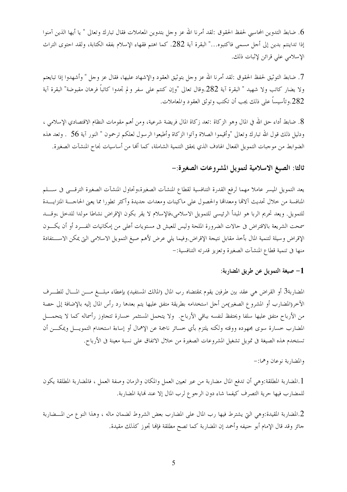6. ضابط التدوين المحاسبي لحفظ الحقوق :لقد أمرنا الله عز وحل بتدوين المعاملات فقال تبارك وتعالى " يا أيها الذين آمنوا إذا تداينتم بدين إلى أحل مسمى فاكتبوه…" البقرة آية 282. كما اهتم فقهاء الإسلام بفقه الكتابة، ولقد احتوى التراث الإسلامي على قرائن لإثبات ذلك.

7. ضابط التوثيق لحفظ الحقوق :لقد أمرنا الله عز وحل بتوثيق العقود والإشهاد عليها، فقال عز وحل " وأشهدوا إذا تبايعتم ولا يضار كاتب ولا شهيد " البقرة آية 282.وقال تعالى "وإن كنتم على سفر ولم تجدوا كاتباً فرهان مقبوضة" البقرة آية 282.وتأسيساً على ذلك يجب أن تكتب وتوثق العقود والمعاملات.

8. ضابط أداء حق الله في المال وهو الزكاة :تعد زكاة المال فريضة شرعية، ومن أهم مقومات النظام الاقتصادي الإسلامي ، ودليل ذلك قول الله تبارك وتعالى "وأقيموا الصلاة وآتوا الزكاة وأطيعوا الرسول لعلكم ترحمون " النور آية 56 ٪ وتعد هذه الضوابط من موجبات التمويل الفعال الهادف الذي يحقق التنمية الشاملة، كما ألها من أساسيات نجاح المنشآت الصغيرة.

## ثالثا: الصيغ الاسلامية لتمويل المشروعات الصغيرة:-

يعد التمويل الميسر عاملاً مهما لرفع القدرة التنافسية لقطاع المنشآت الصغيرة،وتحاول المنشآت الصغيرة الترقـــي في ســــلم المنافسة من حلال تحديث آلاقما ومعداقما والحصول على ماكينات ومعدات جديدة وأكثر تطورا مما يعبي الحاجسة المتزايسدة للتمويل. ويعد تحريم الربا هو المبدأ الرئيسي للتمويل الاسلامي،فالإسلام لا يقر بكون الإقراض نشاطا مولدا للدحل ،وقـــد سمحت الشريعة بالاقتراض فى حالات الضرورة الملحة وليس للعيش فى مستويات أعلى من إمكانيات الفـــرد أو أن يكـــون الإقراض وسيلة لتنمية المال بأحذ مقابل نتيجة الإقراض.وفيما يلي عرض لأهم صيغ التمويل الاسلامي التي يمكن الاســـتفادة منها في تنمية قطاع المنشآت الصغيرة وتعزيز قدرته التنافسية:-

#### 1– صيغة التمويل عن طريق المضاربة:

المضاربة3 أو القراض هي عقد بين طرفين يقوم بمقتضاه رب المال (المالك المستفيد) بإعطاء مبلـــغ مــــن المــــال للطــــرف الأخر(المضارب أو المشروع الصغير)من أجل استخدامه بطريقة متفق عليها يتم بعدها رد رأس المال إليه بالإضافة إلى حصة من الأرباح متفق عليها سلفا ويحتفظ لنفسه بباقي الأرباح. ۖ ولا يتحمل المستثمر خسارة تتجاوز رأسماله كما لا يتحمــــل المضارب خسارة سوى مجهوده ووقته ولكنه يلتزم بأي خسائر ناجمة عن الإهمال أو إساءة استخدام التمويـــل ويمكــــن أن تستخدم هذه الصيغة في تمويل تشغيل المشروعات الصغيرة من حلال الاتفاق على نسبة معينة في الأرباح.

والمضاربة نوعان وهما:-

1.المضاربة المطلقة:وهي أن تدفع المال مضاربة من عير تعيين العمل والمكان والزمان وصفة العمل ، فالمضاربة المطلقة يكون للمضارب فيها حرية التصرف كيفما شاء دون الرجوع لرب المال إلا عند نماية المضاربة.

2.المضاربة المقيدة:وهي التي يشترط فيها رب المال على المضارب بعض الشروط لضمان ماله ، وهذا النوع من المسضاربة جائزٍ وقد قال الإمام أبو حنيفه وأحمد إن المضاربة كما تصح مطلقة فإلها تجوز كذلك مقيدة.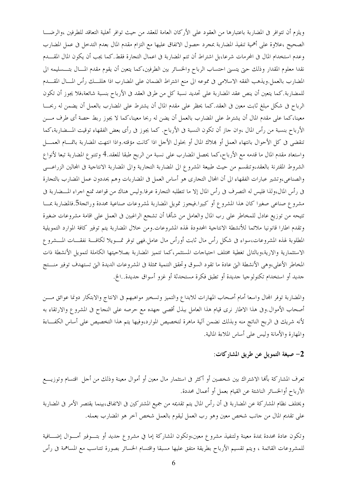ويلزم أن تتوافر في المضاربة باعتبارها من العقود على الأركان العامة للعقد من حيث توافر أهلية التعاقد للطرفين ،والرضـــا الصحيح ،علاوة على أهمية تنفيذ المضاربة بمجرد حصول الاتفاق عليها مع التزام مقدم المال بعدم التدخل في عمل المضارب وعدم استخدام المال في المحرمات شرعا،بل اشتراط أن تتم المضاربة في اعمال التجارة فقط.كما يجب أن يكون المال المقـــدم نقدا معلوم المقدار وذلك حتى يتسنى احتساب الرباح والخسائر بين الطرفين،كما يتعين أن يقوم مقدم المسال بتـــسليمه الى المضارب بالعمل.ويذهب الفقه الاسلامي في مموعه الى منع اشتراط الضمان على المضارب اذا هللـــك رأس المـــال المقــــدم للمضاربة.كما يتعين أن ينص عقد المضاربة على تحديد نسبة كل من طرفي العقد في الأرباح بنسبة شائعة،فلا يجوز أن تكون الرباح في شكل مبلغ ثابت معين في العقد.كما يحظر على مقدم المال أن يشترط على المضارب بالعمل أن يضمن له ربحـــا معينا،كما على مقدم المال أن يشترط على المضارب بالعمل أن يضن له ربحا معينا،كما لا يجوز ربط حصة أي طرف مـــن الأرباح بنسبة من رأس المال ،وان حاز أن تكون النسبة في الأرباح. كما يجوز في رأى بعض الفقهاء توقيت المـــضاربة،كما تنقضي في كل الأحوال بانتهاء العمل أو بملاك المال أو بحلول الأحل اذا كانت مؤقته.واذا انتهت المضاربة باتمـــام العمــــل واستعاد مقدم المال ما قدمه مع الأرباح،كما يحصل المضارب على نسبة من الربح طبقا للعقد.4 وتتنو ع المضاربة تبعا لأنواع الشروط المقترنة بالعقد،وتنقسم من حيث طبيعة المشروع الى المضاربة التحارية والى المضاربة الانتاجية فى المحالين الزراعـــي والصناعي،وتشير عبارات الفقهاء الى أن المحال التحاري هو أساس العمل في المضاربات وهم يحددون عمل المضارب بالتحارة في رأس المال،ولذا فليس له التصرف في رأس المال إلا ما تتطلبه التجارة عرفا.وليس هناك من قواعد تمنع اجراء المسضاربة في مشروع صناعي صغيرا كان هذا المشروع أو كبيرا.فيحوز تمويل المضاربة لمشروعات صناعية محددة ورائجة5.فالمضاربة بمسا تتيحه من توزيع عادل للمخاطر على رب المال والعامل من شألها أن تشجع الراغبين في العمل على اقامة مشروعات ضغيرة وتقدم اطارا قانونيا ملائما للأنشطة الانتاجية المحدودة لهذه المشروعات.ومن حلال المضاربة يتم توفير كافة الموارد التمويلية المطلوبة لهذه المشروعات،سواء في شكل رأس مال ثابت أورأس مال عامل.فهي توفر تمسويلا لكافسة نفقسات المسشروع الاستثمارية والارية،وبالتالي تغطية مختلف احتياجات المستثمر،كما تتميز المضاربة بصلاحيتها الكاملة لتمويل الأنشطة ذات المخاطر الأعلى،وهي الأنشطة التي عادة ما تقود السوق وتحقق التنمية ممثلة في المشروعات الديدة التي تستهدف توفير منستج حديد أو استخدام تكنولوجيا حديدة أو تطبق فكرة مستحدثة أو غزو أسواق حديدة..الخ.

والمضاربة توفر المحال واسعا أمام أصحاب المهارات للابداع والتميز وتسخير مواهبهم في الانتاج والابتكار دونما عوائق مـــن أصحاب الأموال.وفي هذا الاطار نرى قيام هذا العامل ببذل أقصى جهده مع حرصه على النجاح في المشروع والارتقاء به لأنه شريك في الربح الناتج منه وبذلك نضمن آلية ماهرة لتخصيص الموارد،وفيها يتم هذا التخصيص على أساس الكفــاءة والمهارة والأمانة وليس على أساس الملاءة المالية.

#### 2– صيغة التمويل عن طريق المشاركات:

تعرف المشاركة بألها الاشتراك بين شخصين أو أكثر فى استثمار مال معين أو أموال معينة وذلك من أحل اقتسام وتوزيـــع الأرباح أوالخسائر الناشئة عن القيام بعمل أو أعمال محددة. ويختلف نظام المشاركة عن المضاربة في أن رأس المال يتم تقديمه من جميع المشتركين في الاتفاق،بينما يقتصر الأمر في المضاربة على تقديم المال من حانب شخص معين وهو رب العمل ليقوم بالعمل شخص آخر هو المضارب بعمله.

وتكون عادة محددة بمدة معينة ولتنفيذ مشروع معين،وتكون المشاركة إما في مشروع جديد أو بتـــوفير أمــــوال إضــــافية للمشروعات القائمة ، ويتم تقسيم الأرباح بطريقة متفق عليها مسبقا واقتسام الخسائر بصورة تتناسب مع المساهمة فى رأس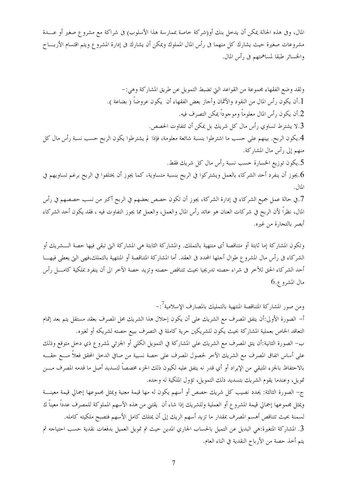المال، وفي هذه الحالة يمكن أن يدخل بنك أو(شركة خاصة بممارسة هذا الأسلوب) في شراكة مع مشروع صغير أو عــــدة مشروعات صغيرة حيث يشارك كل منهما فى رأس المال المملوك ويمكن أن يشارك فى إدارة المشروع ويتم اقتسام الأربـــاح والخسائر طبقا لمساهمتهم في رأس المال.

ولقد وضع الفقهاء مجموعة من القواعد التي تضبط التمويل عن طريق المشاركة وهي:-1.أن يكون رأس المال من النقود والأثمان وأجاز بعض الفقهاء أن يكون عروضاً ( بضاعة ). 2.أن يكون رأس المال معلوماً وموجوداً يمكن التصرف فيه. 3.لا يشترط تساوي رأس مال كل شريك بل يمكن أن تتفاوت الحصص. 4.يكون الربح. بينهم على حسب ما اشترطوا بنسبة شائعة معلومة، فإذا لم يشترطوا يكون الربح حسب نسبة رأس مال كل منهم إلى رأس مال المشاركة. 5.يكون توزيع الخسارة حسب نسبة رأس مال كل شريك فقط. 6.يجوز أن ينفرد أحد الشركاء بالعمل ويشتركوا في الربح بنسبة متساوية، كما يجوز أن يختلفوا في الربح برغم تساويهم في  $|U|$ . 7.في حالة عمل جميع الشركاء في إدارة الشركة، يجوز أن تكون حصص بعضهم في الربح أكبر من نسب حصصهم في رأس المال، نظراً لأن الربح في شركات العنان هو عائد رأس المال والعمل، والعمل مما يجوز التفاوت فيه ، فقد يكون أحد الشركاء

أبصر بالتجارة من غيره.

وتكون المشاركة إما ثابتة أو متناقصة أي منتهية بالتملك. والمشاركة الثابتة هي المشاركة التي تبقى فيها حصة الـــشريك أو الشركاء في رأس مال المشروع طوال أجلها المحدد في العقد. أما المشاركة المتناقصة أو المنتهية بالتملك،فهي التي يعطي فيهـــا أحد الشركاء الحق للآخر في شراء حصته تدريجيا بحيث تتناقص حصته وتزيد حصة الآخر الى أن ينفرد بملكية كامـــل رأس  $6.$ مال المشروع

ومن صور المشاركة المتناقصة المنتهية بالتمليك بالمصارف الإسلامية<sup>7</sup>:-

أ– الصورة الأولى:أن يتفق المصرف مع الشريك على أن يكون إحلال هذا الشريك محل المصرف بعقد مستقل يتم بعد إتمام التعاقد الخاص بعملية المشاركة بحيث يكون للشريكين حرية كاملة في التصرف ببيع حصته لشريكه أو لغيره. ب– الصورة الثانية:أن يتق المصرف مع الشريك على المشاركة في التمويل الكلي أو الجزئي لمشروع ذي دحل متوقع وذلك على أساس اتفاق المصرف مع الشريك الآخر لحصول المصرف على حصة نسبية من صافي الدخل المحقق فعلاً مــــع حقــــه بالاحتفاظ بالجزء المتبقى من الإيراد أو أي قدر نه يتفق عليه لكيون ذلك الحزء مخصصاً لتسديد أصل ما قدمه المصرف مــــن تمويل، وعندما يقوم الشريك بتسديد ذلك التمويل، تؤول الملكية له وحده.

ج– الصورة الثالثة: يحدد نصيب كل شريك حصص أو أسهم يكون له مها قيمة معنية ويمثل مجموعها إجمالي قيمة معينــــة ويمثل مجموعها إجمالي قيمة المشروع أو العملية وللشريك إذا شاء أن يقتني من هذه الأسهم المملوكة للمصرف عدداً معيناً ك لسمنة بحيث تتناقص أهسم المصرف بمقدار ما تزيد أسهم الريك إلى أن يمتلك كامل الأسهم فتصبح ملكيته كامله. 3. المشاركة المتغيرة:هي البديل عن التميل بالحساب الجاري المدين حيث تم تمويل العميل بدفعات نقدية حسب احتياجه ثم يتم أخذ حصة من الأرباح النقدية في اثناء العام.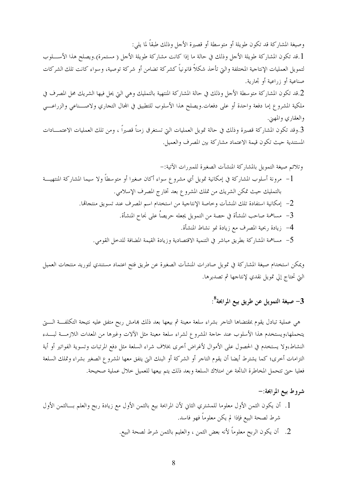وصيغة المشاركة قد تكون طويلة أو متوسطة أو قصيرة الأحل وذلك طبقاً لما يلي: [.قد تكون المشاركة طويلة الأحل وذلك في حالة ما إذا كانت مشاركة طويلة الأحل ( مستمرة).ويصلح هذا الأســــلوب لتمويل العمليات الإنتاجية المختلفة والتي تأخذ شكلاً قانونياً كشركة تضامن أو شركة توصية، وسواء كانت تلك الشركات صناعية أو زراعية أو تجارية. 2.قد تكون المشاركة متوسطة الأحل وذلك في حالة المشاركة المنتهية بالتمليك وهي التي يحل فيها الشريك محل المصرف في ملكية المشروع إما دفعة واحدة أو على دفعات ويصلح هذا الأسلوب للتطبيق في المحال التجاري ولاصـــناعي والزراعـــي والعقاري والمهني. 3.وقد تكون المشاركة قصيرة وذلك في حالة تمويل العمليات التي تستغرق زمناً قصيراً ، ومن تلك العمليات الاعتمـــادات المستندية حيث تكون قيمة الاعتماد مشاركة بين المصرف والعميل.

5– مساهمة المشاركة بطريق مباشر في التنمية الاقتصادية وزيادة القيمة المضافة للدحل القومي.

ويمكن استخدام صيغة المشاركة في تمويل صادرات المنشآت الصغيرة عن طريق فتح اعتماد مستندي لتوريد منتجات العميل الَّتِي تحتاج إلى تمويل نقدي لإنتاجها ثم تصديرها.

## سبغة التمويل عن طريق بيع المرابحة $^8$ :

هي عملية تبادل يقوم بمقتضاها التاجر بشراء سلعة معينة ثم بيعها بعد ذلك بمامش ربح متفق عليه نتيجة التكلفـــة الــــتي يتحملها،ويستخدم هذا الأسلوب عند حاحة المشروع لشراء سلعة معينة مثل الآلات وغيرها من المعدات اللازمــــة لبــــدء النشاط،ولا يستخدم في الحصول على الأموال لأغراض أخرى بخلاف شراء السلعة مثل دفع المرتبات وتسوية الفواتير أو أية التزامات أخرى؛ كما يشترط أيضا أن يقوم التاجر أو الشركة أو البنك التي يتفق معها المشروع الصغير بشراء وتملك السلعة فعليا حتى تتحمل المخاطرة النابحة عن امتلاك السلعة وبعد ذلك يتم بيعها للعميل خلال عملية صحيحة.

### شروط بيع المرابحة:-

- 1. أن يكون الثمن الأول معلوما للمشتري الثاني لأن المرابحة بيع بالثمن الأول مع زيادة ربح والعلم بـــالثمن الأول شرط لصحة البيع فإذا لم يكن معلوماً فهو فاسد.
	- 2. أن يكون الربح معلوماً لأنه بعض الثمن ، والعليم بالثمن شرط لصحة البيع.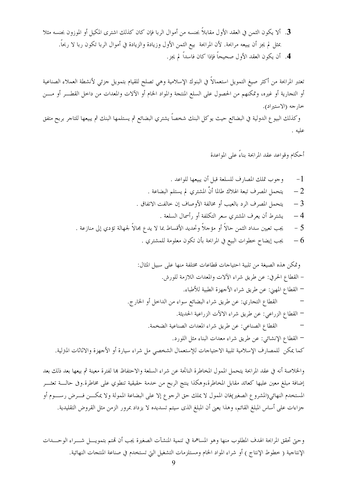3. ألا يكون الثمن في العقد الأول مقابلاً بجنسه من أموال الربا فإن كان كذلك اشترى المكيل أو الموزون بجنسه مثلا بمثل لم يجز أن يبيعه مرابحة. لأن المرابحة بيع الثمن الأول وزيادة والزيادة في أموال الربا تكون ربا لا ربحاً. 4. أن يكون العقد الأول صحيحاً فإذا كان فاسداً لم يجز.

تعتبر المرابحة من أكثر صيغ التمويل استعمالاً في البنوك الإسلامية وهي تصلح للقيام بتمويل حزئي لأنشطة العملاء الصناعية أو التحارية أو غيره، وتمكنهم من الحصول على السلع المنتحة والمواد الخام أو الآلات والمعدات من داخل القطـــر أو مـــن خارجه (الاستيراد).

وكذلك البيوع الدولية في البضائع حيث يوكل البنك شخصاً يشتري البضائع ثم يستلمها البنك ثم يبيعها للتاجر بربح متفق عليه .

أحكام وقواعد عقد المرابحة بناءً على المواعدة

والخلاصة أنه في عقد المرابحة يتحمل الممول المخاطرة الناتحة عن شراء السلعة والاحتفاظ بما لفترة معينة ثم بيعها بعد ذلك بعد إضافة مبلغ معين عليها كعائد مقابل المخاطرة،وهكذا ينتج الربح من حدمة حقيقية تنطوي على مخاطرة.وفي حالـــة تعثـــر المستخدم النهائي(المشروع الصغير)فان الممول لا يملك حق الرجوع إلا على البضاعة الممولة ولا يمكـــن فـــرض رســـوم أو جزاءات على أساس المبلغ القائم، وهذا يعنى أن المبلغ الذى سيتم تسديده لا يزداد بمرور الزمن مثل القروض التقليدية.

وحتى تحقق المرابحة الهدف المطلوب منها وهو المساهمة في تنمية المنشآت الصغيرة يجب أن قمتم بتمويـــل شــــراء الوحــــدات الإنتاجية ( خطوط الإنتاج ) أو شراء المواد الخام ومستلزمات التشغيل التي تستخدم في صناعة المنتجات النهائية.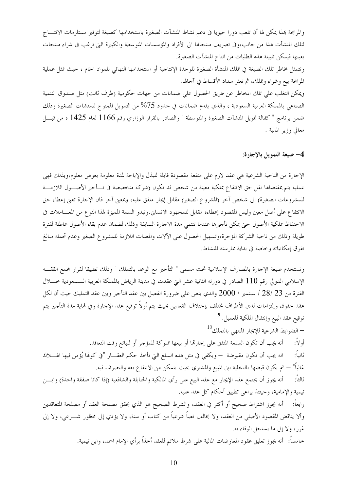والمرابحة بمذا يمكن لها أن تلعب دورا حيويا في دعم نشاط المنشآت الصغيرة باستخدامها كصيغة لتوفير مستلزمات الانتساج لتلك المنشأت هذا من حانب،وفي تصريف منتجالها الى الأفراد والمؤسسات المتوسطة والكبيرة التي ترغب في شراء منتجات بعينها فيمكن تلبيتة هذه الطلبات من انتاج المنشآت الصغيرة. وتتمثل مخاطر تلك الصيغة في تملك المنشأة الصغيرة للوحدة الإنتاجية أو استخدامها النهائي للمواد الخام ، حيث تمثل عملية المرابحة بيع وشراء وتملك، ثم تعثر سداد الأقساط في آحالها. ويمكن التغلب على تلك المخاطر عن طريق الحصول على ضمانات من جهات حكومية (طرف ثالث) مثل صندوق التنمية الصناعي بالمملكة العربية السعودية ، والذي يقدم ضمانات في حدود 75% من التمويل الممنوح للمنشآت الصغيرة وذلك ضمن برنامج " كفالة تمويل المنشآت الصغيرة والمتوسطة " والصادر بالقرار الوزاري رقم 1166 لعام 1425 ه من قبـــل معالى وزير المالية .

4– صيغة التمويل بالإجارة:

الإحارة من الناحية الشرعية هي عقد لازم على منفعة مقصودة قابلة للبذل والإباحة لمدة معلومة بعوض معلوم،وبذلك فهي عملية يتم بمقتضاها نقل حق الانتفاع بملكية معينة من شخص قد تكون (شركة متخصصة فى تـــأجير الأصــــول اللازمــــة للمشروعات الصغيرة) الى شخص آخر (المشروع الصغير) مقابل إيجار متفق عليه، وبمعنى آخر فان الإحارة تعني إعطاء حق الانتفاع على أصل معين وليس المقصود إعطاءه مقابل للمجهود الانساني.وتبدو السمة المميزة لهذا النوع من المعساملات في الاحتفاظ بملكية الأصول حتى يمكن تأجيرها عندما تنتهى مدة الاجارة السابقة وذلك لضمان عدم بقاء الأصول عاطلة لفترة طويلة وذلك من ناحية الشركة المؤجرة،وتسهيل الحصول على الآلات والمعدات اللازمة للمشروع الصغير وعدم تحمله مبالغ تفوق إمكانياته وخاصة في بداية ممارسته للنشاط.

وتستخدم صيغة الإحارة بالمصارف الإسلامية تحت مسمى " التأجير مع الوعد بالتملك " وذلك تطبيقا لقرار مجمع الققـــه الإسلامي الدولي رقم 110 الصادر في دورته الثانية عشر التي عقدت في مدينة الرياض بالمملكة العربية الـــسعودية حــــلال الفترة من 23 /28 / سبتمبر / 2000 والذي ينص على ضرورة الفصل بين عقد التأجير وبين عقد التمليك حيث أن لكل عقد حقوق وإلتزامات لدى الأطراف تختلف بإحتلاف القعدين بحيث يتم أولاً توقيع عقد الإحارة وفي نماية مدة التأجير يتم توقيع عقد البيع وإنتقال الملكية للعميل. <sup>9</sup>

– الضوابط الشرعية للإيجار المنتهي بالتملك $^{10}$ أُولاً: أنه يجب أن تكون السلعة المتفق على إجارها أو بيعها مملوكة للمؤجر أو للبائع وقت التعاقد. ثانياً: انه يجب أن تكون مقبوضة — ويكفى في مثل هذه السلع التي تأخذ حكم العقـــار "في كونما يُؤمن فيها الهــــلاك غالباً" — انم يكون قبضها بالتخلية بين المبيع والمشتري بحيث يتمكن من الانتفاع بعه والتصرف فيه.

أنه يجوز أن يجتمع عقد الإيجار مع عقد البيع على رأي المالكية والحنابلة والشافعية (إذا كانا صفقة واحدة) وابسن ثالثاً: تيمية والإمامية، وحينئذ يراعي تطبيق أحكام كل عقد عليه.

رابعاً: أنه يجوز اشتراط صحيح أو أكثر في العقد، والشرط الصحيح هو الذي يحقق مصلحة العقد أو مصلحة المتعاقدين وألا يناقض المقصود الأصلي من العقد، ولا يخالف نصاً شرعياً من كتاب أو سنة، ولا يؤدي إلى محظور شـــرعي، ولا إلى غرر، ولا إلى ما يستحل الوفاء به.

خامساً: أنه يجوز تعليق عقود المعاوضات المالية على شرط ملائم للعقد أخذاّ برأي الإمام احمد، وابن تيمية.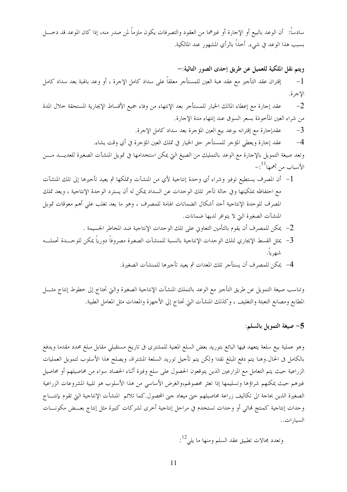سادساً: ۖ أن الوعد بالبيع أو الإجارة أو غيرهما من العقود والتصرفات يكون ملزماً لمن صدر منه، إذا كان الموعد قد دخــــل بسبب هذا الوعد في شيء. أخذاً بالرأي المشهور عند المالكية.

ويتم نقل الملكية للعميل عن طريق إحدى الصور التالية:– إقتران عقد التأجير مع عقد هبة العين للمستأجر معلقاً على سداد كامل الإجرة ، أو وعد بالهبة بعد سداد كامل  $-1$ الإجرة.

عقد إحارة مع إعطاء المالك الخيار للمستأجر بعد الإنتهاء من وفاء جميع الأقساط الإيجارية المستحقة حلال المدة  $-2$ من شراء العين المأخوذة بسعر السوق عند إنتهاء مدة الإجارة.

> عقدإجارة مع إقترانه بوعد بيع العين المؤجرة بعد سداد كامل الإجرة.  $-3$

عقد إجارة ويعطى المؤجر للمستأجر حق الخيار في تملك العين المؤجرة في أي وقت يشاء.  $-4$ 

وتعد صيغة التمويل بالإحارة مع الوعد بالتمليك من الصيغ التي يمكن استخدامها في تمويل المنشآت الصغيرة للعديــــد مــــن الأسباب من أهمها $^{11}$ :–

- l أن المصرف يستطيع توفير وشراء أي وحدة إنتاجية لأي من المنشآت وتملكها ثم يعيد تأجيرها إلى تلك المنشآت مع احتفاظه بملكيتها وفي حالة تأخر تلك الوحدات عن السداد يمكن له أن يسترد الوحدة الإنتاجية ، ويعد تملك المصرف للوحدة الإنتاجية أحد أشكال الضمانات الهامة للمصرف ، وهو ما يعد تغلب على أهم معوقات تمويل المنشآت الصغيرة التي لا يتوافر لديها ضمانات.
	- 2- يمكن للمصرف أن يقوم بالتأمين التعاوين على تلك الوحدات الإنتاجية ضد المخاطر الجسيمة .
- 3– يمثل القسط الإيجاري لتلك الوحدات الإنتاجية بالنسبة للمنشآت الصغيرة مصروفاً دورياً يمكن للوحـــدة تحملـــه شهرياً.
	- 4- يمكن للمصرف أن يستأجر تلك المعدات ثم يعيد تأجيرها للمنشآت الصغيرة.

وتناسب صيغة التمويل عن طريق التأجير مع الوعد بالتملك المنشآت الإنتاجية الصغيرة والتي تحتاج إلى خطوط إنتاج مثـــل المطابع ومصانع التعبئة والتغليف ، وكذلك المنشآت التي تحتاج إلي الأحهزة والمعدات مثل المعامل الطبية.

#### 5– صيغة التمويل بالسلم:

وهو عملية بيع سلعة يتعهد فيها البائع بتوريد بعض السلع المعنية للمشترى فى تاريخ مستقبلي مقابل مبلغ محدد مقدما ويدفع بالكامل فى الحال.وهنا يتم دفع المبلغ نقدا ولكن يتم تأحيل توريد السلعة المشتراة، ويصلح هذا الأسلوب لتمويل العمليات الزراعية حيث يتم التعامل مع المزارعين الذين يتوقعون الحصول على سلع وفيرة أثناء الحصاد سواء من محاصيلهم أو محاصيل غيرهم حيث يمكنهم شراؤها وتسليمها إذا تعثر محصولهم،والغرض الأساسي من هذا الأسلوب هو تلبية المشروعات الزراعية الصغيرة الذين بحاجة الى تكاليف زراعة محاصيلهم حتى ميعاد جني المحصول.كما تلائم المنشآت الإنتاجية التي تقوم بإنتساج وحدات إنتاجية كمنتج فمائي أو وحدات تستخدم في مراحل إنتاجية أخرى لشركات كبيرة مثل إنتاج بعــض مكونـــات السيار ات..

وتعدد محالات تطبيق عقد السلم ومنها ما يلي $^{12}$ :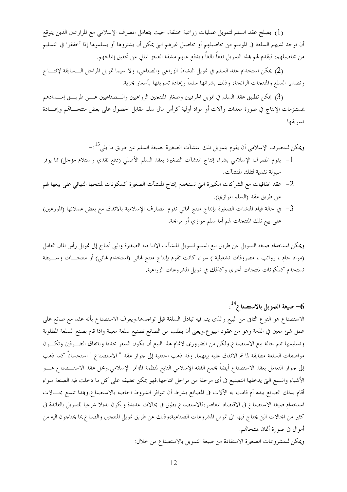(1) يصلح عقد السلم لتمويل عمليات زراعية مختلفة، حيث يتعامل المصرف الإسلامي مع المزارعين الذين يتوقع أن توجد لديهم السلعة في الموسم من محاصيلهم أو محاصيل غيرهم التي يمكن أن يشتروها أو يسلموها إذا أخفقوا في التسليم من محاصيلهم، فيقدم لهم بمذا التمويل نفعاً بالغاً ويدفع عنهم مشقة العجز المالي عن تحقيق إنتاجهم.

(2) يمكن استخدام عقد السلم في تمويل النشاط الزراعي والصناعي، ولا سيما تمويل المراحل الـــسابقة لإنتــــاج وتصدير السلع والمنتجات الرائجة، وذلك بشرائها سلماً وإعادة تسويقها بأسعار مجزية.

(3) يمكن تطبيق عقد السلم في تمويل الحرفيين وصغار المنتجين الزراعيين والـــصناعيين عـــن طريـــق إمــــدادهم بمستلزمات الإنتاج في صورة معدات وآلات أو مواد أولية كرأس مال سلم مقابل الحصول على بعض منتجـــاقمم وإعــــادة تسويقها.

ويمكن للمصرف الإسلامي أن يقوم بتمويل تلك المنشآت الصغيرة بصيغة السلم عن طريق ما يل<sub>ى</sub><sup>13</sup>:– l – يقوم المصرف الإسلامي بشراء إنتاج المنشآت الصغيرة بعقد السلم الأصلي (دفع نقدي واستلام مؤحل) مما يوفر

- سيولة نقدية لتلك المنشآت.
- \_<br>2- عقد اتفاقيات مع الشركات الكبيرة التي تستخدم إنتاج المنشآت الصغيرة كمكونات لمنتجها النهائي على بيعها لهم عن طريق عقد (السلم الموازي).
- 3– في حالة قيام المنشآت الصغيرة بإنتاج منتج لهائي تقوم المصارف الإسلامية بالاتفاق مع بعض عملائها (الموزعين) على بيع تلك المنتجات لهم أما سلم موازي أو مرابحة.

ويمكن استخدام صيغة التمويل عن طريق بيع السلم لتمويل المنشآت الإنتاجية الصغيرة والتي تحتاج إلى تمويل رأس المال العامل (مواد خام ، رواتب ، مصروفات تشغيلية ) سواء كانت تقوم بإنتاج منتج فمائي (استخدام فمائي) أو منتجــــات وســــيطة تستخدم كمكونات لمنتجات أحرى وكذلك في تمويل المشروعات الزراعية.

 $^{14}$ صيغة التمويل بالاستصناع $^{-6}$  .

الاستصناع هو النوع الثاني من البيع والذي يتم فيه تبادل السلغة قبل تواحدها.ويعرف الاستصناع بأنه عقد مع صانع على عمل شئ معين في الذمة وهو من عقود البيو ع.ويعني أن يطلب من الصانع تصنيع سلعة معينة واذا قام بصنع السلعة المطلوبة وتسليمها تتم حالة بيع الاستصناع.ولكن من الضروري لاتمام هذا البيع أن يكون السعر محددا وباتفاق الطـرفين وتكــون مواصفات السلعة مطابقة لما تم الاتفاق عليه بينهما. وقد ذهب الحنفية إلى جواز عقد " الاستصناع " استحساناً كما ذهب إلى جواز التعامل بعقد الاستصناع أيضاً مجمع الفقه الإسلامي التابع لمنظمة المؤتمر الإسلامي.ومحل عقد الاستـــصناع هـــو الأشياء والسلع التي يدخلها التصنيع في أي مرحلة من مراحل انتاجها.فهو يمكن تطبيقه على كل ما دخلت فيه الصنعة سواء أقام بذلك الصانع بيده أم قامت به الآلات في المصانع بشرط أن تتوافر الشروط الخاصة بالاستصناع.وهذا تتسع مجـــالات استخدام صيغة الاستصناع في الاقتصاد المعاصر،فالاستصناع يطبق في مجالات عديدة ويكون بديلا شرعيا للتمويل بالفائدة في كثير من المحالات التي يحتاج فيها الى تمويل المشروعات الصناعية،وذلك عن طريق تمويل المنتجين والصناع بما يحتاجون اليه من أموال في صورة أثمان لمنتجاهم.

ويمكن للمشروعات الصغيرة الاستفادة من صيغة التمويل بالاستصناع من حلال: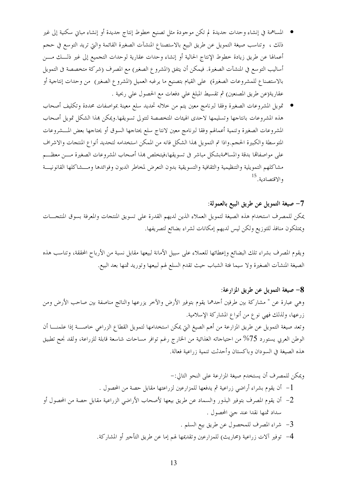- المساهمة في إنشاء وحدات حديدة لم تكن موجودة مثل تصنيع خطوط إنتاج حديدة أو إنشاء مباني سكنية إلى غير ذلك ، وتناسب صيغة التمويل عن طريق البيع بالاستصناع المنشآت الصغيرة القائمة والتي تريد التوسع في حجم أعمالها عن طريق زيادة خطوط الإنتاج الحالية أو إنشاء وحدات عقارية لوحدات التجميع إلى غير ذلـــك مــــن أساليب التوسع في المنشآت الصغيرة. فيمكن أن يتفق (المشروع الصغير) مع المصرف (شركة متخصصة فى التمويل بالاستصناع للمشروعات الصغيرة) على القيام بتصنيع ما يرغبه العميل (المشروع الصغير) من وحدات إنتاجية أو عقارية(عن طريق المصنعين) ثم تقسيط المبلغ على دفعات مع الحصول على ربحية .
- تمويل المشروعات الصغيرة وفقا لبرنامج معين يتم من حلاله تحديد سلع معينة بمواصفات محددة وتكليف أصحاب هذه المشروعات بانتاجها وتسليمها لاحدى الهيئات المتخصصة لتتولى تسويقها ويمكن هذا الشكل تمويل أصحاب المشروعات الصغيرة وتنمية أعمالهم وفقا لبرنامج معين لانتاج سلع يحتاجها السوق أو يحتاجها بعض المسشروعات المتوسطة والكبيرة الحجم.واذا تم التمويل بمذا الشكل فانه من الممكن استخدامه لتحديد أنواع المنتجات والاشراف على مواصفاتها بدقة والمساهمةبشكل مباشر في تسويقها،فيتخلص هذا أصحاب المشروعات الصغيرة مـــن معظـــم مشاكلهم التمويلية والتنظيمية والثقافية والتسويقية بدون التعرض لمخاطر الديون وفوائدها ومسشاكلها القانونيسة والاقتصادية.<sup>15</sup>

#### 7– صيغة التمويل عن طريق البيع بالعمولة:

يمكن للمصرف استخدام هذه الصيغة لتمويل العملاء الذين لديهم القدرة على تسويق المنتجات والمعرفة بسوق المنتحـــات ويمتلكون منافذ للتوزيع ولكن ليس لديهم إمكانات لشراء بضائع لتصريفها.

ويقوم المصرف بشراء تلك البضائع وإعطائها للعملاء على سبيل الأمانة لبيعها مقابل نسبة من الأرباح المحققة، وتناسب هذه الصيغة المنشآت الصغيرة ولا سيما فئة الشباب حيث تقدم السلع لهم لبيعها وتوريد ثمنها بعد البيع.

#### 8– صيغة التمويل عن طريق المزارعة:

وهي عبارة عن " مشاركة بين طرفين أحدهما يقوم بتوفير الأرض والآخر يزرعها والناتج مناصفة بين صاحب الأرض ومن زرعها، ولذلك فهي نوع من أنواع المشاركة الإسلامية.

وتعد صيغة التمويل عن طريق المزارعة من أهم الصيغ التي يمكن استخدامها لتمويل القطاع الزراعي خاصـــة إذا علمنـــا أن الوطن العربي يستورد 75% من احتياجاته الغذائية من الخارج رغم توافر مساحات شاسعة قابلة للزراعة، ولقد نجح تطبيق هذه الصيغة في السودان وباكستان وأحدثت تنمية زراعية فعالة.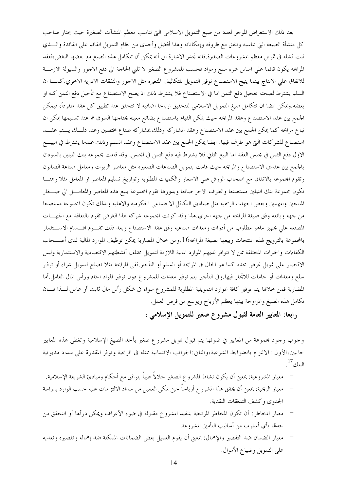بعد ذلك الاستعراض الموجز لعدد من صيغ التمويل الاسلامي التي تناسب معظم المنشآت الصغيرة حيث يختار صاحب كل منشأة الصيغة التي تناسبه وتتفق مع ظروفه وإمكاناته وهذا أفضل وأحدى من نظام التمويل القائم على الفائدة والـــذي ثبت فشله في تمويل معظم المشروعات الصغيرة.فانه تحدر الاشارة الى أنه يمكن أن تتكامل هذه الصيغ مع بعضها البغض،فعقد المرابحه يكون قائما على اساس شرء سلع ومواد فحسب للمشروع الصغير لا تلبي الحاجة الى دفع الاجور والسيولة الازمـــة للانفاق على الانتاج بينما يتيح الاستصناع توفير التمويل للتكاليف المتغيره مثل الاجور والنفقات الادريه الاخري.كمـــا ان السلم يشترط لصحته تعجيل دفع الثمن اما في الاستصناع فلا يشترط ذلك اذ يصح الاستصناع مع تأجيل دفع الثمن كله او بعضه.ويمكن ايضا ان تتكامل صيغ التمويل الاسلامي للتحقيق ارباحا اضافيه لا تتحقق عند تطبيق كل عقد منفردأ، فيمكن الجمع بين عقد الاستصناع وعقد المرابحه حيث يمكن القيام باستصناع بضائع معينه يحتاجها السوق ثم عند تسليمها يمكن ان تباع مرابحه كما يمكن الجمع بين عقد الاستصناع وعقد المشاركه وذلك بمشاركه صناع مختصين وعند ذلــك يــتم عقـــد استصناع للشركات التي هو طرف فيها. ايضا يمكن الجمع بين عقد الاستصناع وعقد السلم وذلك عندما يشترط في البيــع الاول دفع الثمن في مجلس العقد اما البيع الثاني فلا يشترط فيه دفع الثمن في المجلس. وقد قامت مجموعه بنك النيلين بالسودان بالجمع بين عقدي الاستصناع والمرابحه حيث قامت بتمويل الصناعات الصغيره مثل معاصر الزيوت ومعامل صناعة الصابون وتقوم المحموعه بالاتفاق مع اصحاب الورش على الاسعار والكميات المطلوبه وتواريخ تسليم المعاصر او المعامل مثلا وهنـــا تكون مجموعة بنك النيلين مستصنعا والطرف الاخر صانعا وبدورها تقوم المحموعة ببيع هذه المعاصر والمعامـــل الي صــــغار المنتجين والمهنيين وبعض الجهات الرسميه مثل صناديق التكافل الاجتماعي الحكوميه والاهليه وبذلك تكون المحموعة مستصنعا من جهه وبائعه وفق صيغة المرابحه من جهه احري.هذا وقد كونت المحموعه شركه لهذا الغرض تقوم بالتعاقد مع الجهـــات المصنعه على تجهيز ماهو مطلوب من أدوات ومعدات صناعيه وفق عقد الاستصناع وبعد ذلك تقـــوم اقــــسام الاســـتثمار بالمجموعة بالترويج لهذه المنتجات وبيعها بصيغة المرابحه16.ومن حلال المضاربة يمكن توظيف الموارد المالية لدى أصــحاب الكفاءات والخبرات المختلفة ممن لا تتوافر لديهم الموارد المالية اللازمة لتمويل مختلف أنشطتهم الاقتصادية والاستثمارية وليس الاقتصار على تمويل غرض محدد كما هو الحال في المرابحة أو السلم أو التأجير.ففي المرابحة مثلا تصلح لتمويل شراء أو توفير سلع ومعدات أو حامات للاتحار فيها.وفي التأجير يتم توفير معدات للمشروع دون توفير المواد الخام ورأس المال العامل.أما المضاربة فمن حلالها يتم توفير كافة الموارد التمويلية المطلوبة للمشروع سواء فى شكل رأس مال ثابت أو عامل لسذا فسان تكامل هذه الصيغ والمزاوجة بينها يعظم الأرباح ويوسع من فرص العمل.

رابعا: المعايير العامة لقبول مشروع صغير للتمويل الإسلامي :

وجوب وجود مجموعة من المعايير في ضوئها يتم قبول تمويل مشروع صغير بأحد الصيغ الإسلامية وتغطى هذه المعايير جانبين،الأول :الالتزام بالضوابط الشرعية،والثاني:الجوانب الائتمانية ممثلة في الربحية وتوفر المقدرة على سداد مديونية البنك<sup>17</sup>.

- معيار المشروعية: بمعنى أن يكون نشاط المشروع الصغير حلالاً طيباً يتوافق مع أحكام ومبادئ الشريعة الإسلامية.
- معيار الربحية: بمعنى أن يحقق هذا المشروع أرباحاً حتى يمكن العميل من سداد الالتزامات عليه حسب الوارد بدراسة الجدوى وكشف التدفقات النقدية.
- معيار المخاطر: أن تكون المخاطر المرتبطة بتنفيذ المشروع مقبولة في ضوء الأعراف ويمكن درأها أو التحقق من حدقما بأي أسلوب من أساليب التأمين المشروعة.
- معيار الضمان ضد التقصير والإهمال: بمعنى أن يقوم العميل بعض الضمانات الممكنة ضد إهماله وتقصيره وتعديه على التمويل وضياع الأموال.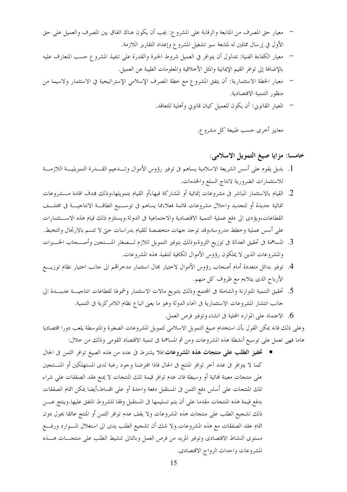- معيار حق المصرف من المتابعة والرقابة على المشروع: يجب أن يكون هناك اتفاق بين المصرف والعميل على حق الأول في إرسال ممثلين له لمتابعة سير تشغيل المشروع وإعداد التقارير اللازمة.
- معيار الكفاءة الفنية: بمدلول أن يتوافر في العميل شروط الخبرة والقدرة على تنفيذ المشروع حسب المتعارف عليه بالإضافة إلى توافر القيم الإيمانية والمثل الأخلاقية والمعلومات الطيبة عن العميل.
- معيار الخطة الاستثمارية: أن يتفق المشروع مع خطة المصرف الإسلامي الإستراتيجية في الاستثمار ولاسيما من  $\frac{1}{2}$ منظور التنمية الاقتصادية.
	- المعيار القانوين: أن يكون للعميل كيان قانوين وأهلية للتعاقد.

معايير أخرى حسب طبيعة كل مشرو ع.

## خامسا: مزايا صيغ التمويل الاسلامي:

- 1. بديل يقوم على أسس الشريعة الاسلامية يساهم فى توفير رؤوس الأموال وتـــدعيم القــــدرة التمويليــــة اللازمــــة للاستثمارات الضرورية لانتاج السلع والخدمات.
- 2. القيام بالاستثمار المباشر فى مشروعات إنمائية أو المشاركة فيها،أو القيام بتمويلها،وذلك بمدف اقامة مـــشروعات انمائية جديدة أو لتجديد واحلال مشروعات قائمة فعلا،مما يساهم في توســـيع الطاقـــة الانتاجيـــة في مختلـــف القطاعات،ويؤدي الى دفع عملية التنمية الاقتصادية والاحتماعية في الدولة.ويستلزم ذلك قيام هذه الاســـتثمارات على أسس عملية وخطط مدروسة،وقد توجد جهات متخصصة للقيام بدراسات حتى لا تتسم بالارتحال والتخبط.
- 3. المساهمة في تحقيق العدالة في توزيع الثروة،وذلك بتوفير التمويل اللازم لـــصغار المنـــتجين وأصـــحاب الخـــبرات والمشروعات الذين لا يملكون رؤوس الأموال الكافية لتنفيذ هذه المشروعات.
- 4. توفير بدائل متعددة أمام أصحاب رؤوس الأموال لاختيار مجال استثمار مدخراقمم الى حانب اختيار نظام توزيـــع الأرباح الذي يتلاءم مع ظروف كل منهم.
- 5. تحقيق التنمية المتوازنة والشاملة فى المحتمع وذلك بتنويع مالات الاستثمار وشمولها لقطاعات انتاحيــــة عديــــدة الى حانب انتشار المشروعات الاستثمارية في انحاء الدولة وهو ما يعني اتباع نظام اللامركزية في التنمية.
	- . الاعتماد على الموارد المحلية في انشاء وتوفير فرص العمل.

وعلى ذلك فانه يمكن القول بأن استخدام صيغ التمويل الاسلامي لتمويل المشروعات الصغيرة والمتوسطة يلعب دورا اقتصاديا هاما فهي تعمل على توسيع أنشطة هذه المشروعات ومن ثم المساهمة في تنمية الاقتصاد القومي وذلك من حلال:

• تحفيز الطلب على منتجات هذه المشروعات:فلا يشترط في عدد من هذه الصيغ توافر الثمن في الحال كما لا يتوافر في عدد آخر توافر المنتج في الحال فاذا افترضنا وجود رغبة لدى المستهلكين أو المنستجين على منتجات معينة لهائية أو وسيطة فان عدم توافر قيمة تلك المنتجات لا يمنع عقد الصفقات على شراء تلك المنتجات على أساس دفع الثمن فى المستقبل دفعة واحدة أو على اقساط،أيضا يمكن اتمام الصفقات بدفع قيمة هذه المنتجات مقدما على أن يتم تسليمها في المستقبل وفقا للشروط المتفق عليها.وينتج عــــن ذلك تشجيع الطلب على منتجات هذه المشروعات ولا يقف عدم توافر الثمن أو المنتج عائقا يحول دون اتمام عقد الصفقات مع هذه المشروعات.ولا شك أن تشجيع الطلب يدي الى استغلال المــوارد ورفـــع مستوى النشاط الاقتصادي وتوفير المزيد من فرص العمل وبالتالي تنشيط الطلب على منتجـــات هــــذه المشروعات واحداث الرواج الاقتصادي.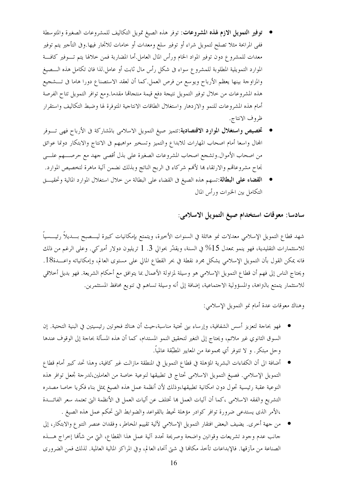- توفير التمويل الازم لهذه المشروعات: توفر هذه الصيغ تمويل التكاليف للمشروعات الصغيرة والمتوسطة ففي المرابحة مثلا تصلح لتمويل شراء أو توفير سلع ومعدات أو حامات للاتحار فيها.وفي التأجير يتم توفير معدات للمشروع دون توفير المواد الخام ورأس المال العامل.أما المضاربة فمن حلالها يتم تـــوفير كافـــة الموارد التمويلية المطلوبة للمشروع سواء فى شكل رأس مال ثابت أو عامل لذا فان تكامل هذه الـــصيغ والمزاوجة بينها يعظم الأرباح ويوسع من فرص العمل.كما أن لعقد الاستصناع دورا هاما في تـــشجيع هذه المشروعات من حلال توفير التمويل نتيجة دفع قيمة منتجاتما مقدما.ومع توافر التمويل تتاح الفرصة أمام هذه المشروعات للنمو والازدهار واستغلال الطاقات الانتاجية المتوفرة لها وضبط التكاليف واستقرار ظروف الانتاج.
- تخصيص واستغلال الموارد الاقتصادية:تتميز صيغ التمويل الاسلامي بالمشاركة فى الأرباح فهي تـــوفر المحال واسعا أمام اصحاب المهارات للابداع والتميز وتسخير مواهبهم فى الانتاج والابتكار دونما عوائق من اصحاب الأموال.وتشجع اصحاب المشروعات الصغيرة على بذل أقصى جهد مع حرصـــهم علـــي نجاح مشروعاقمم والارتقاء ها لأفمم شركاء في الربح الناتج وبذلك نضمن آلية ماهرة لتخصيص الموارد.
- ا**لقضاء على البطالة**:تسهم هذه الصيغ فى القضاء على البطالة من خلال استغلال الموارد المالية وتحقيـــق التكامل بين الخبرات ورأس المال

## سادسا: معوقات استخدام صيغ التمويل الاسلامي:

شهد قطاع التمويل الإسلامي معدلات نمو هائلة في السنوات الأخيرة، ويتمتع بإمكانيات كبيرة ليــــصبح بــــديلاً رئيــــسياً للاستثمارات التقليدية، فهو ينمو بمعدل 15% في السنة، ويقدّر بحوالي 3. 1 تريليون دولار أميركي. وعلى الرغم من ذلك فانه يمكن القول بأن التمويل الإسلامي يشكل مجرد نقطة في بحر القطاع المالي على مستوى العالم، وإمكانياته واعـــدة18. ويحتاج الناس إلى فهم أن قطاع التمويل الإسلامي هو وسيلة لمزاولة الأعمال بما يتوافق مع أحكام الشريعة. فهو بديل أخلاقي للاستثمار يتمتع بالتراهة، والمسؤولية الاجتماعية، إضافة إلى أنه وسيلة تساهم في تنويع محافظ المستثمرين.

وهناك معوقات عدة أمام نمو التمويل الإسلامي:

- فهو بحاجة لتعزيز أسس الشفافية، وإرساء بني تحتية مناسبة،حيث أن هناك فجوتين رئيسيتين في البنية التحتية. إن السوق الثانوي غير ملائم، ويحتاج إلى التغير لتحقيق النمو المستدام، كما أن هذه المسألة بحاحة إلى الوقوف عندها وحل مبتكر . و لا تتوفر أي مجموعة من المعايير المطبِّقة عالمياً.
- أضافة الى أن الكفاءات البشرية المؤهلة في قطاع التمويل في المنطقة مازالت غير كافية، وهذا تحد كبير أمام قطاع التمويل الإسلامي. فصيغ التمويل الاسلامي تحتاج في تطبيقها لنوعية خاصة من العاملين،لدرجة تجعل توافر هذه النوعية عقبة رئيسية تحول دون امكانية تطبيقها،وذلك لأن أنظمة عمل هذه الصيغ يمثل بناء فكريا حاصا مصدره التشريع والفقه الاسلامي ،كما أن آليات العمل ها تختلف عن أليات العمل في الأنظمة التي تعتمد سعر الفائـــدة ،الأمر الذي يستدعي ضرورة توافر كوادر مؤهلة تحيط بالقواعد والضوابط التي تحكم عمل هذه الصيغ .
- من جهة أخرى. يضيف البعض افتقار التمويل الإسلامي لآلية تقييم المخاطر، وفقدان عنصر التنوع والابتكار، إلى حانب عدم وحود تشريعات وقوانين واضحة وصريحة تحدد آلية عمل هذا القطاع، التي من شألها إخراج هــــذه الصناعة من مآزقها. فالإبداعات تأخذ مكانها في شتى أنحاء العالم، وفي المراكز المالية العالمية. لذلك فمن الضروري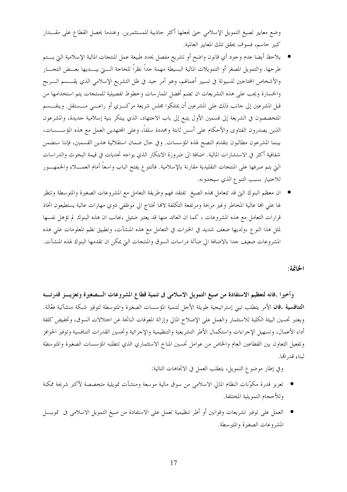وضع معايير لصيغ التمويل الإسلامي حتى نجعلها أكثر حاذبية للمستثمرين. وعندما يحصل القطاع على مقـــدار كبير حاسم، فسوف يحقق تلك المعايير العالمية.

- يلاحظ أيضا عدم وجود أي قانون واضح أو تشريع مفصل يحدد طبيعة عمل المنتجات المالية الإسلامية التي يـــتم طرحها. والتمويل المصغر أو التمويلات المالية البسيطة مهمة حداً نظراً للحاجة الــــتي يبــــديها بعـــض التجــــار والأشخاص المحتاجين للسيولة في تسيير أعمالهم، وهو أمر جيد في ظل التشريع الإسلامي الذي يقـــسم الــــربح والخسارة ويجب على هذه التشريعات ان تضم أفضل الممارسات وخطوط تفصيلية للمنتجات يتم استخدامها من قبل المشرعين إلى حانب ذلك على المشرعين أن يمتلكوا مجلس شريعة مركــزي أو راعــبي مـــستقل. وينقـــسم المتخصصون في الشريعة إلى قسمين الأول يتبع إلى باب الاحتهاد، الذي يبتكر بنية إسلامية حديدة، والمشرعون الذين يصدرون الفتاوي والأحكام على أسس ثابتة ومحددة سلفاً، وعلى المحتهدين العمل مع هذه المؤســـسات، بينما المشرعون مطالبون بتقديم النصح لهذه المؤسسات. وفي حال ضمان استقلالية هذين القسمين، فإننا سنضمن شفافية أكثر في الاستشارات المالية. اضافة الى ضرورة الابتكار الذي يواحه تحديات في قيمة البحوث والدراسات التي يتم صرفها على المنتجات التقليدية مقارنة بالإسلامية. فالتنو ع يفتح الباب واسعاً أمام العمــــلاء والجمهــــور للاختيار بسبب التنوع الذي سيجدونه.
- ان معظم البنوك التي قد تتعامل بمذه الصيغ تفتقد فهم وطريقة التعامل مع المشروعات الصغيرة والمتوسطة وتنظر لها على الها عالية المخاطر وغير مربحة ومرتفعة التكلفة لالها تحتاج الى موظفى ذوي مهارات عالية يستطيعون اتخاذ قرارات التعامل مع هذه المشروعات ، كما ان العائد منها قد يعتبر ضئيل ،بجانب ان هذه البنوك لم تؤهل نفسها لمثل هذا النوع ،ولديها ضعف شديد في الخبرات في التعامل مع هذه المنشآت، وتطبيق نظم المعلومات على هذه المشروعات ضعيف حدا بالاضافة الى ضآلة دراسات السوق والمنتحات التي يمكن ان تقدمها البنوك لهذه المنشآت.

الخاتمة:

وأخيرًا ،فانه لتعظيم الاستفادة من صيغ التمويل الاسلامي في تنمية قطاع المشروعات الــصغيرة وتعزيـــز قدرتـــه ا**لتنافسية ،فان** الأمر يتطلب تبني إستراتيجية طويلة الأحل لتنمية المؤسسات الصغيرة والمتوسطة لتوفير شبكة منشآتية فعّالة. ويعتبر تحسين البيئة الكلية للاستثمار والعمل على الإصلاح المالي وإزالة المعوقات الناتجة عن اختلالات السوق، وتخفيض كلفة أداء الأعمال، وتسهيل الإحراءات واستكمال الأطر التشريعية والتنظيمية والإحرائية وتحسين القدرات التنافسية وتوفير الحوافز وتفعيل التعاون بين القطاعين العام والخاص من عوامل تحسين المناخ الاستثماري الذي تتطلبه المؤسسات الصغيرة والمتوسطة لبناء قد, الها.

وفي إطار موضوع التمويل، يتطلب العمل في الاتحاهات التالية:

- تعزيز قدرة مكوّنات النظام المالي الاسلامي من سوق مالية موسعة ومنشآت تمويلية متخصصة لأكبر شريحة ممكنة وللأحجام التمويلية المختلفة.
- العمل على توفير تشريعات وقوانين أو أطر تنظيمية تعمل على الاستفادة من صيغ التمويل الاسلامي في تمويــــل المشروعات الصغيرة والمتوسطة.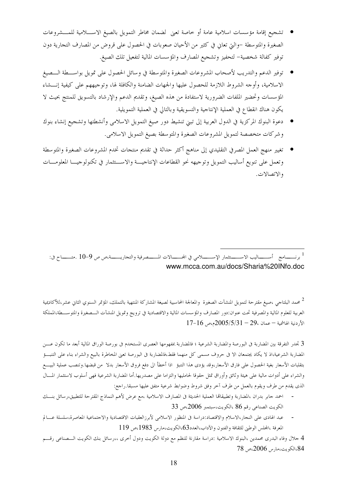- تشجيع إقامة مؤسسات اسلامية عامة أو خاصة تعني لضمان مخاطر التمويل بالصيغ الاســــلامية للمــــشروعات الصغيرة والمتوسطة –والتي تعاني في كثير من الأحيان صعوبات في الحصول على قروض من المصارف التجارية دون توفير كفالة شخصية– لتحفيز وتشجيع المصارف والمؤسسات المالية لتفعيل تلك الصيغ.
- توفير الدعم والتدريب لأصحاب المشروعات الصغيرة والمتوسطة في وسائل الحصول على تمويل بواســــطة الــــصيغ الاسلامية، وأوجه الشروط اللازمة للحصول عليها والجهات الضامنة والكافلة لها، وتوجيههم على كيفية إنـــشاء المؤسسات وتحضير الملفات الضرورية لاستفادة من هذه الصيغ، وتقديم الدعم والإرشاد بالتسويق للمنتج بحيث لا يكون هناك انقطاع في العملية الإنتاجية والتسويقية وبالتالي في العملية التمويلية.
- دعوة البنوك المركزية في الدول العربية إلى تبني تنشيط دور صيغ التمويل الاسلامي وأنشطتها وتشجيع إنشاء بنوك وشركات متخصصة لتمويل المشروعات الصغيرة والمتوسطة بصيغ التمويل الاسلامي.
- تغيير منهج العمل المصرفي التقليدي إلى مناهج أكثر حداثة في تقديم منتجات تخدم المشروعات الصغيرة والمتوسطة وتعمل على تنويع أساليب التمويل وتوجيهه نحو القطاعات الإنتاجيـــة والاســـتثمار في تكنولوجيـــا المعلومــــات والاتصالات.

<sup>1</sup> برنــــــامج أســـــــاليب الاســــــتثمار الإســــــــلامي في المحــــــالات المـــــصرفية والتجاريـــــــة،ص ص 9−10 .متـــــــاح في: www.mcca.com.au/docs/Sharia%20INfo.doc

<sup>2</sup> محمد البلتاجي ،صيغ مقترحة لتمويل المنشآت الصغيرة والمعالجة المحاسبية لصيغة المشاركة المنتهية بالتملك، المؤتمر السنوي الثاني عشر،للأكاديمية العربية للعلوم المالية والمصرفية تحت عنوان:دور المصارف والمؤسسات المالية والاقتصادية في ترويج وتمويل المنشآت السصغيرة والمتوسسطة،المملكة  $17-16$  الأردنية الهاشمية $-$  عمان ،2 $-29-2005/5/3$ م،ص

3 تجدر التفرقة بين المضاربة فى البورصة والمضاربة الشرعية ؛ فالمضاربة بمفهومها العصرى المستخدم فى بورصة الوراق المالية أبعد ما تكون عـــن المضاربة الشرعية،اذ لا يكاد يجتمعان الا فى حروف مسمى كل منهما فقط،فالمضاربة فى البورصة تعنى المخاطرة بالبيع والشراء بناء على التنبـــؤ بتقلبات الأسعار بغية الحصول على فارق الأسعار،وقد يؤدى هذا التنبؤ اذا أحطأ الى دفع فروق الأسعار بدلا من قبضها.وتنصب عملية البيــــع والشراء على أدوات مالية على هيئة وثائق وأوراق تمثل حقوقا لحامليها والتزاما على مصدريها.أما المضاربة الشرعية فهي أسلوب لاستثمار المسال الذي يقدم من طرف ويقوم بالعمل من طرف أخر وفق شروط وضوابط شرعية متفق عليها مسبقا.راجع:

- احمد حابر بدران ،المضاربة وتطبيقاقما العملية الحديثة فى المصارف الاسلامية ،مع عرض لأهم النماذج المقترحة للتطبيق،رسائل بنـــك  $33$  الكويت الصناعي رقم 86 ،الكويت،سبتمبر 2006،ص
- عبد الهادى على النجار،الاسلام والاقتصاد:دراسة في المنظور الاسلامي لأبرزالعقبات الاقتصادية والاجتماعية المعاصرة،سلسلة عـــالم  $\sim$  $119$  المعرفة ،المجلس الوطين للثقافة والفنون والآداب،العدد36،الكويت،مارس 1983،ص

4 حلال وفاء البدري محمدين ،البنوك الاسلامية :دراسة مقارنة للنظم مع دولة الكويت ودول أخرى ،،رسائل بنك الكويت السصناعي رقسم 84،الكويت،مارس 2006،ص 78